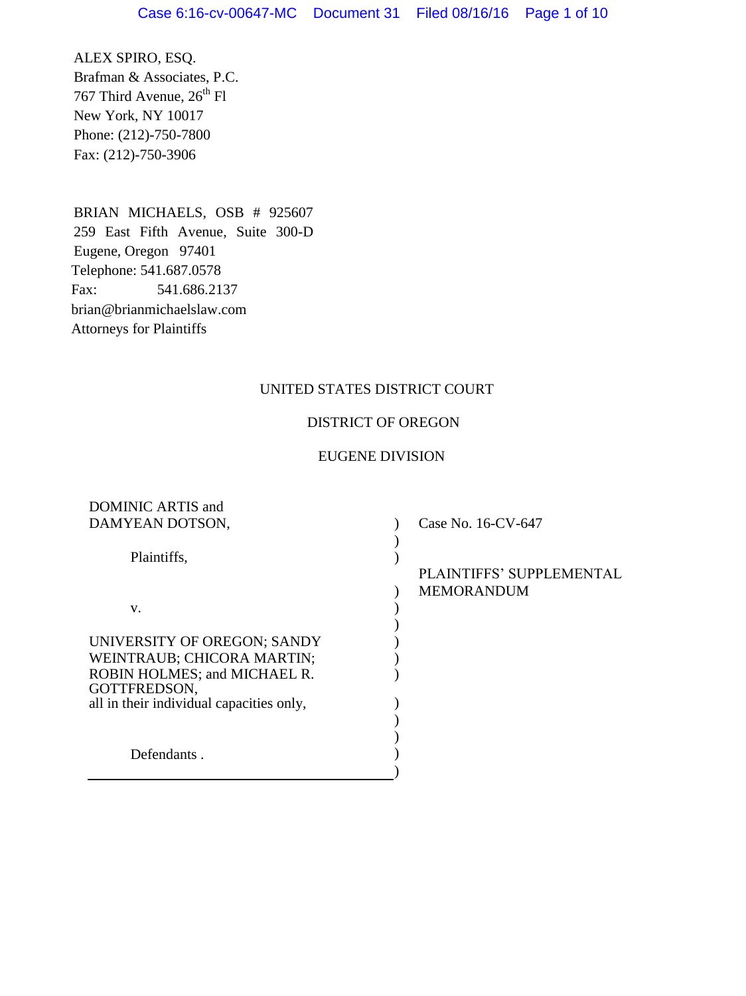ALEX SPIRO, ESQ. Brafman & Associates, P.C. 767 Third Avenue,  $26^{th}$  Fl New York, NY 10017 Phone: (212)-750-7800 Fax: (212)-750-3906

BRIAN MICHAELS, OSB # 925607 259 East Fifth Avenue, Suite 300-D Eugene, Oregon 97401 Telephone: 541.687.0578 Fax: 541.686.2137 brian@brianmichaelslaw.com Attorneys for Plaintiffs

# UNITED STATES DISTRICT COURT

# DISTRICT OF OREGON

# EUGENE DIVISION

| DAMYEAN DOTSON,<br>Case No. 16-CV-647    |  |
|------------------------------------------|--|
|                                          |  |
| Plaintiffs,                              |  |
| PLAINTIFFS' SUPPLEMENTAL                 |  |
| <b>MEMORANDUM</b>                        |  |
| V.                                       |  |
|                                          |  |
| UNIVERSITY OF OREGON; SANDY              |  |
| WEINTRAUB; CHICORA MARTIN;               |  |
| ROBIN HOLMES; and MICHAEL R.             |  |
| GOTTFREDSON,                             |  |
| all in their individual capacities only, |  |
|                                          |  |
|                                          |  |
| Defendants.                              |  |
|                                          |  |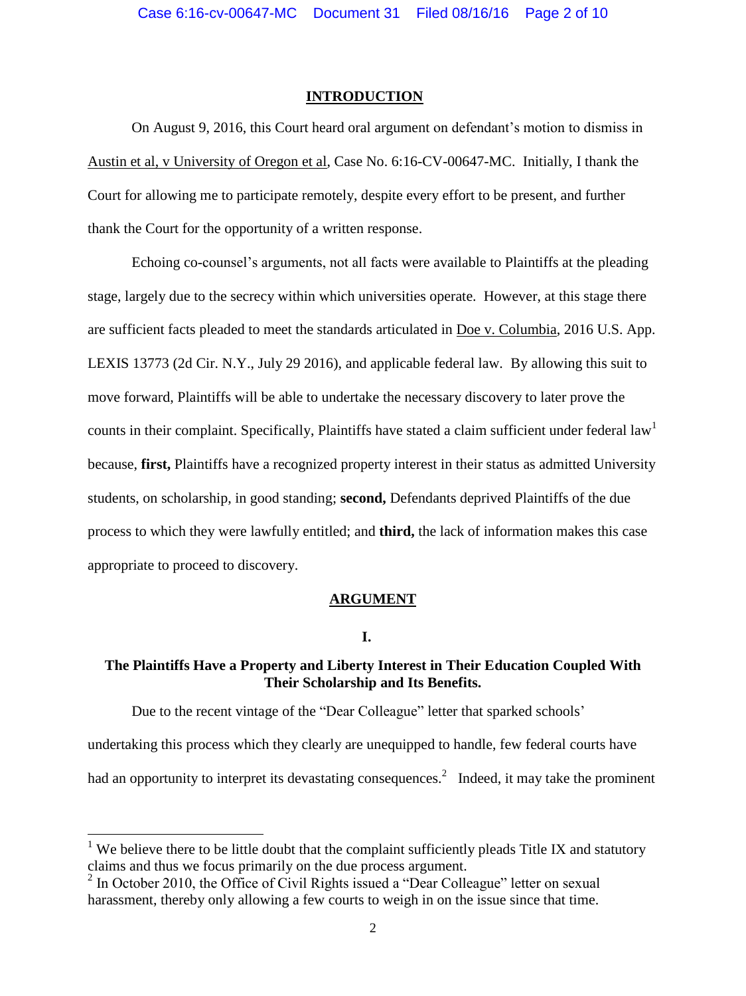### **INTRODUCTION**

On August 9, 2016, this Court heard oral argument on defendant's motion to dismiss in Austin et al, v University of Oregon et al, Case No. 6:16-CV-00647-MC. Initially, I thank the Court for allowing me to participate remotely, despite every effort to be present, and further thank the Court for the opportunity of a written response.

Echoing co-counsel's arguments, not all facts were available to Plaintiffs at the pleading stage, largely due to the secrecy within which universities operate. However, at this stage there are sufficient facts pleaded to meet the standards articulated in Doe v. Columbia, 2016 U.S. App. LEXIS 13773 (2d Cir. N.Y., July 29 2016), and applicable federal law. By allowing this suit to move forward, Plaintiffs will be able to undertake the necessary discovery to later prove the counts in their complaint. Specifically, Plaintiffs have stated a claim sufficient under federal law<sup>1</sup> because, **first,** Plaintiffs have a recognized property interest in their status as admitted University students, on scholarship, in good standing; **second,** Defendants deprived Plaintiffs of the due process to which they were lawfully entitled; and **third,** the lack of information makes this case appropriate to proceed to discovery.

## **ARGUMENT**

# **I.**

## **The Plaintiffs Have a Property and Liberty Interest in Their Education Coupled With Their Scholarship and Its Benefits.**

Due to the recent vintage of the "Dear Colleague" letter that sparked schools'

undertaking this process which they clearly are unequipped to handle, few federal courts have

had an opportunity to interpret its devastating consequences.<sup>2</sup> Indeed, it may take the prominent

 $\overline{a}$ 

<sup>&</sup>lt;sup>1</sup> We believe there to be little doubt that the complaint sufficiently pleads Title IX and statutory claims and thus we focus primarily on the due process argument.

<sup>&</sup>lt;sup>2</sup> In October 2010, the Office of Civil Rights issued a "Dear Colleague" letter on sexual harassment, thereby only allowing a few courts to weigh in on the issue since that time.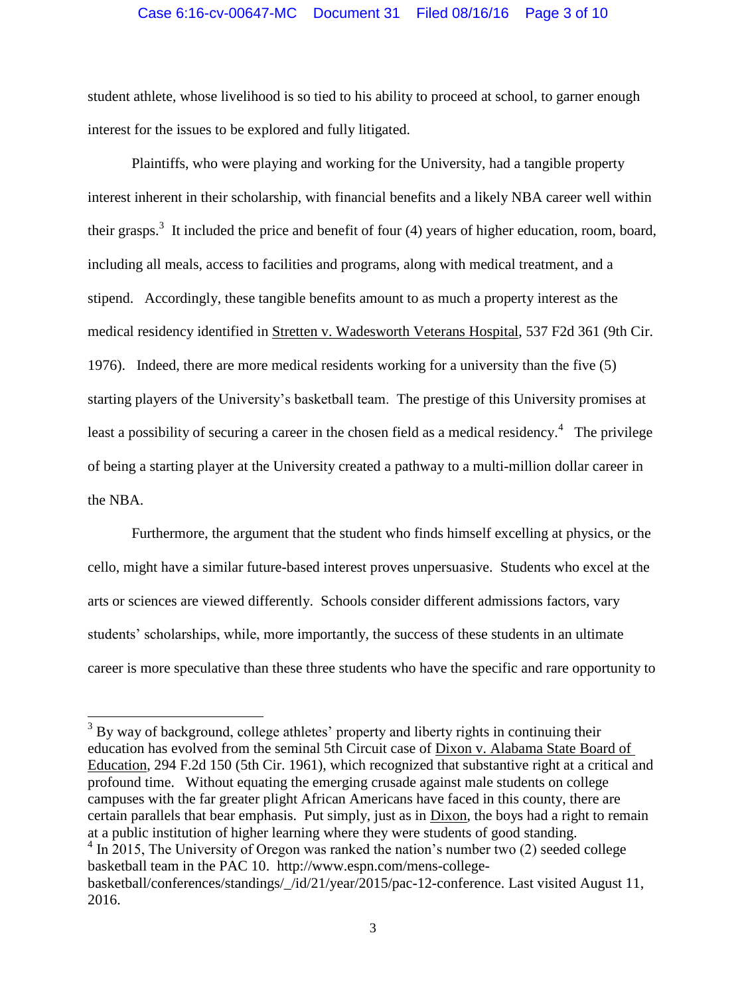### Case 6:16-cv-00647-MC Document 31 Filed 08/16/16 Page 3 of 10

student athlete, whose livelihood is so tied to his ability to proceed at school, to garner enough interest for the issues to be explored and fully litigated.

Plaintiffs, who were playing and working for the University, had a tangible property interest inherent in their scholarship, with financial benefits and a likely NBA career well within their grasps.<sup>3</sup> It included the price and benefit of four  $(4)$  years of higher education, room, board, including all meals, access to facilities and programs, along with medical treatment, and a stipend. Accordingly, these tangible benefits amount to as much a property interest as the medical residency identified in Stretten v. Wadesworth Veterans Hospital, 537 F2d 361 (9th Cir. 1976). Indeed, there are more medical residents working for a university than the five (5) starting players of the University's basketball team. The prestige of this University promises at least a possibility of securing a career in the chosen field as a medical residency.<sup>4</sup> The privilege of being a starting player at the University created a pathway to a multi-million dollar career in the NBA.

Furthermore, the argument that the student who finds himself excelling at physics, or the cello, might have a similar future-based interest proves unpersuasive. Students who excel at the arts or sciences are viewed differently. Schools consider different admissions factors, vary students' scholarships, while, more importantly, the success of these students in an ultimate career is more speculative than these three students who have the specific and rare opportunity to

 $3$  By way of background, college athletes' property and liberty rights in continuing their education has evolved from the seminal 5th Circuit case of Dixon v. Alabama State Board of Education, 294 F.2d 150 (5th Cir. 1961), which recognized that substantive right at a critical and profound time. Without equating the emerging crusade against male students on college campuses with the far greater plight African Americans have faced in this county, there are certain parallels that bear emphasis. Put simply, just as in Dixon, the boys had a right to remain at a public institution of higher learning where they were students of good standing. <sup>4</sup> In 2015, The University of Oregon was ranked the nation's number two (2) seeded college basketball team in the PAC 10. http://www.espn.com/mens-collegebasketball/conferences/standings/\_/id/21/year/2015/pac-12-conference. Last visited August 11, 2016.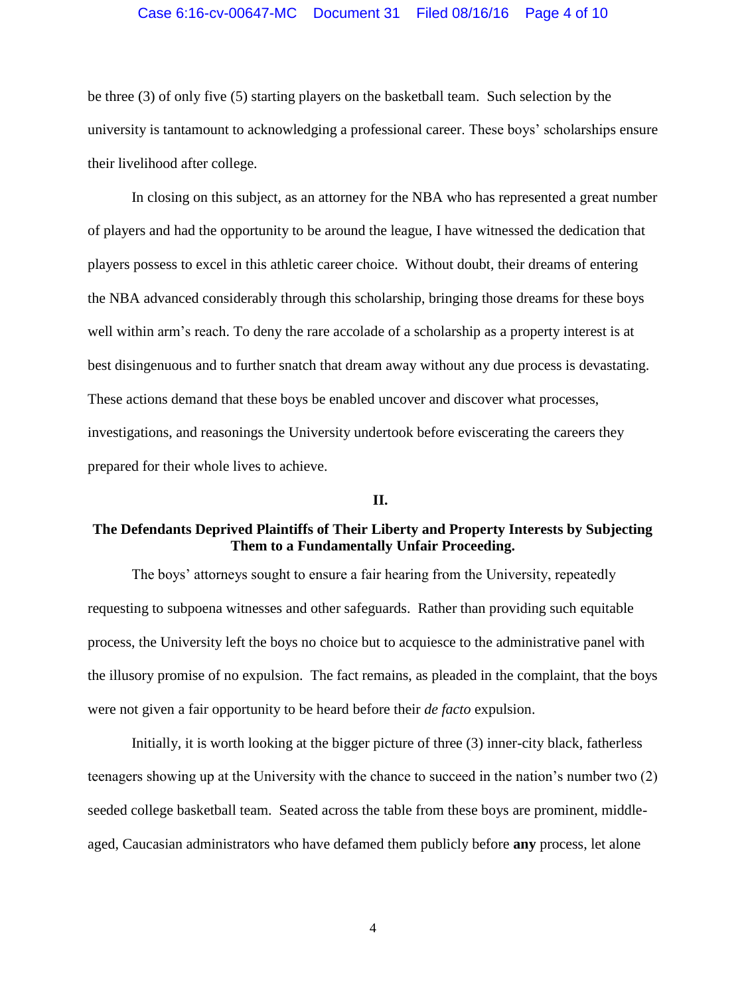#### Case 6:16-cv-00647-MC Document 31 Filed 08/16/16 Page 4 of 10

be three (3) of only five (5) starting players on the basketball team. Such selection by the university is tantamount to acknowledging a professional career. These boys' scholarships ensure their livelihood after college.

In closing on this subject, as an attorney for the NBA who has represented a great number of players and had the opportunity to be around the league, I have witnessed the dedication that players possess to excel in this athletic career choice. Without doubt, their dreams of entering the NBA advanced considerably through this scholarship, bringing those dreams for these boys well within arm's reach. To deny the rare accolade of a scholarship as a property interest is at best disingenuous and to further snatch that dream away without any due process is devastating. These actions demand that these boys be enabled uncover and discover what processes, investigations, and reasonings the University undertook before eviscerating the careers they prepared for their whole lives to achieve.

## **II.**

# **The Defendants Deprived Plaintiffs of Their Liberty and Property Interests by Subjecting Them to a Fundamentally Unfair Proceeding.**

The boys' attorneys sought to ensure a fair hearing from the University, repeatedly requesting to subpoena witnesses and other safeguards. Rather than providing such equitable process, the University left the boys no choice but to acquiesce to the administrative panel with the illusory promise of no expulsion. The fact remains, as pleaded in the complaint, that the boys were not given a fair opportunity to be heard before their *de facto* expulsion.

Initially, it is worth looking at the bigger picture of three (3) inner-city black, fatherless teenagers showing up at the University with the chance to succeed in the nation's number two (2) seeded college basketball team. Seated across the table from these boys are prominent, middleaged, Caucasian administrators who have defamed them publicly before **any** process, let alone

4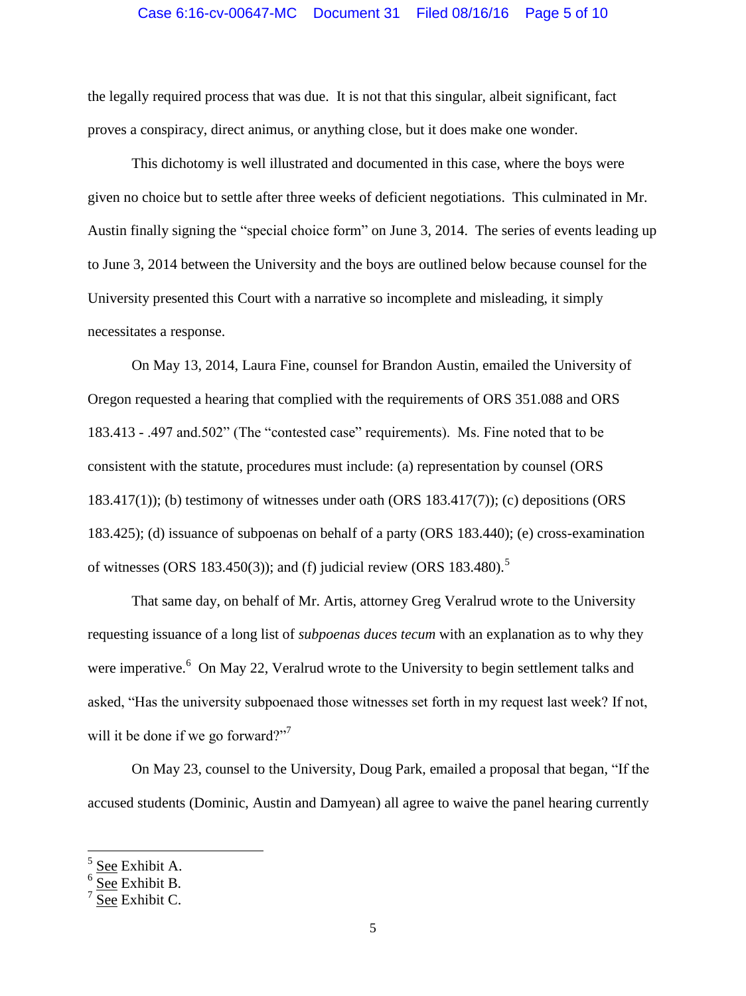#### Case 6:16-cv-00647-MC Document 31 Filed 08/16/16 Page 5 of 10

the legally required process that was due. It is not that this singular, albeit significant, fact proves a conspiracy, direct animus, or anything close, but it does make one wonder.

This dichotomy is well illustrated and documented in this case, where the boys were given no choice but to settle after three weeks of deficient negotiations. This culminated in Mr. Austin finally signing the "special choice form" on June 3, 2014. The series of events leading up to June 3, 2014 between the University and the boys are outlined below because counsel for the University presented this Court with a narrative so incomplete and misleading, it simply necessitates a response.

On May 13, 2014, Laura Fine, counsel for Brandon Austin, emailed the University of Oregon requested a hearing that complied with the requirements of ORS 351.088 and ORS 183.413 - .497 and.502" (The "contested case" requirements). Ms. Fine noted that to be consistent with the statute, procedures must include: (a) representation by counsel (ORS 183.417(1)); (b) testimony of witnesses under oath (ORS 183.417(7)); (c) depositions (ORS 183.425); (d) issuance of subpoenas on behalf of a party (ORS 183.440); (e) cross-examination of witnesses (ORS 183.450(3)); and (f) judicial review (ORS 183.480).<sup>5</sup>

That same day, on behalf of Mr. Artis, attorney Greg Veralrud wrote to the University requesting issuance of a long list of *subpoenas duces tecum* with an explanation as to why they were imperative.<sup>6</sup> On May 22, Veralrud wrote to the University to begin settlement talks and asked, "Has the university subpoenaed those witnesses set forth in my request last week? If not, will it be done if we go forward?"<sup>7</sup>

On May 23, counsel to the University, Doug Park, emailed a proposal that began, "If the accused students (Dominic, Austin and Damyean) all agree to waive the panel hearing currently

<sup>5</sup> See Exhibit A.

<sup>6</sup> See Exhibit B.

<sup>7</sup> See Exhibit C.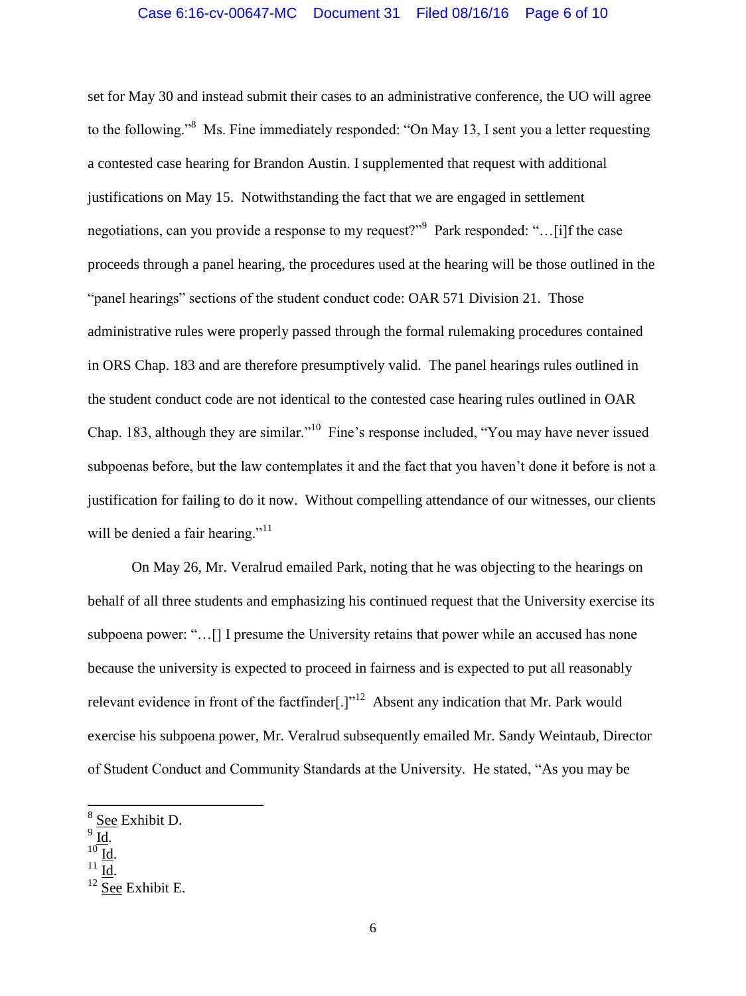set for May 30 and instead submit their cases to an administrative conference, the UO will agree to the following."<sup>8</sup> Ms. Fine immediately responded: "On May 13, I sent you a letter requesting a contested case hearing for Brandon Austin. I supplemented that request with additional justifications on May 15. Notwithstanding the fact that we are engaged in settlement negotiations, can you provide a response to my request?" Park responded: "...[i]f the case proceeds through a panel hearing, the procedures used at the hearing will be those outlined in the "panel hearings" sections of the student conduct code: OAR 571 Division 21. Those administrative rules were properly passed through the formal rulemaking procedures contained in ORS Chap. 183 and are therefore presumptively valid. The panel hearings rules outlined in the student conduct code are not identical to the contested case hearing rules outlined in OAR Chap. 183, although they are similar."<sup>10</sup> Fine's response included, "You may have never issued subpoenas before, but the law contemplates it and the fact that you haven't done it before is not a justification for failing to do it now. Without compelling attendance of our witnesses, our clients will be denied a fair hearing."<sup>11</sup>

On May 26, Mr. Veralrud emailed Park, noting that he was objecting to the hearings on behalf of all three students and emphasizing his continued request that the University exercise its subpoena power: "…[] I presume the University retains that power while an accused has none because the university is expected to proceed in fairness and is expected to put all reasonably relevant evidence in front of the factfinder $[.]^{12}$  Absent any indication that Mr. Park would exercise his subpoena power, Mr. Veralrud subsequently emailed Mr. Sandy Weintaub, Director of Student Conduct and Community Standards at the University. He stated, "As you may be

<sup>&</sup>lt;sup>8</sup> See Exhibit D.

 $\frac{9}{\underline{\text{Id}}.}$ 

 $^{10}$  Id.

 $^{11}$  Id.

 $12$  See Exhibit E.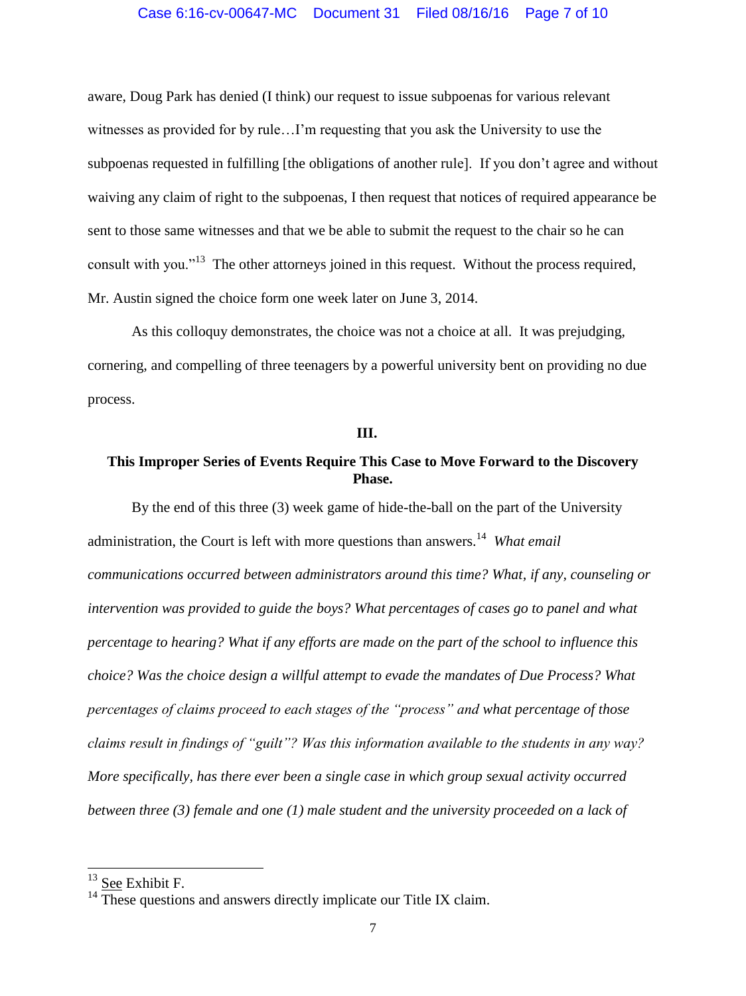#### Case 6:16-cv-00647-MC Document 31 Filed 08/16/16 Page 7 of 10

aware, Doug Park has denied (I think) our request to issue subpoenas for various relevant witnesses as provided for by rule…I'm requesting that you ask the University to use the subpoenas requested in fulfilling [the obligations of another rule]. If you don't agree and without waiving any claim of right to the subpoenas, I then request that notices of required appearance be sent to those same witnesses and that we be able to submit the request to the chair so he can consult with you."<sup>13</sup> The other attorneys joined in this request. Without the process required, Mr. Austin signed the choice form one week later on June 3, 2014.

As this colloquy demonstrates, the choice was not a choice at all. It was prejudging, cornering, and compelling of three teenagers by a powerful university bent on providing no due process.

## **III.**

# **This Improper Series of Events Require This Case to Move Forward to the Discovery Phase.**

By the end of this three (3) week game of hide-the-ball on the part of the University administration, the Court is left with more questions than answers.<sup>14</sup> *What email communications occurred between administrators around this time? What, if any, counseling or intervention was provided to guide the boys? What percentages of cases go to panel and what percentage to hearing? What if any efforts are made on the part of the school to influence this choice? Was the choice design a willful attempt to evade the mandates of Due Process? What percentages of claims proceed to each stages of the "process" and what percentage of those claims result in findings of "guilt"? Was this information available to the students in any way? More specifically, has there ever been a single case in which group sexual activity occurred between three (3) female and one (1) male student and the university proceeded on a lack of* 

 $13$  See Exhibit F.

 $14$ <sup>14</sup> These questions and answers directly implicate our Title IX claim.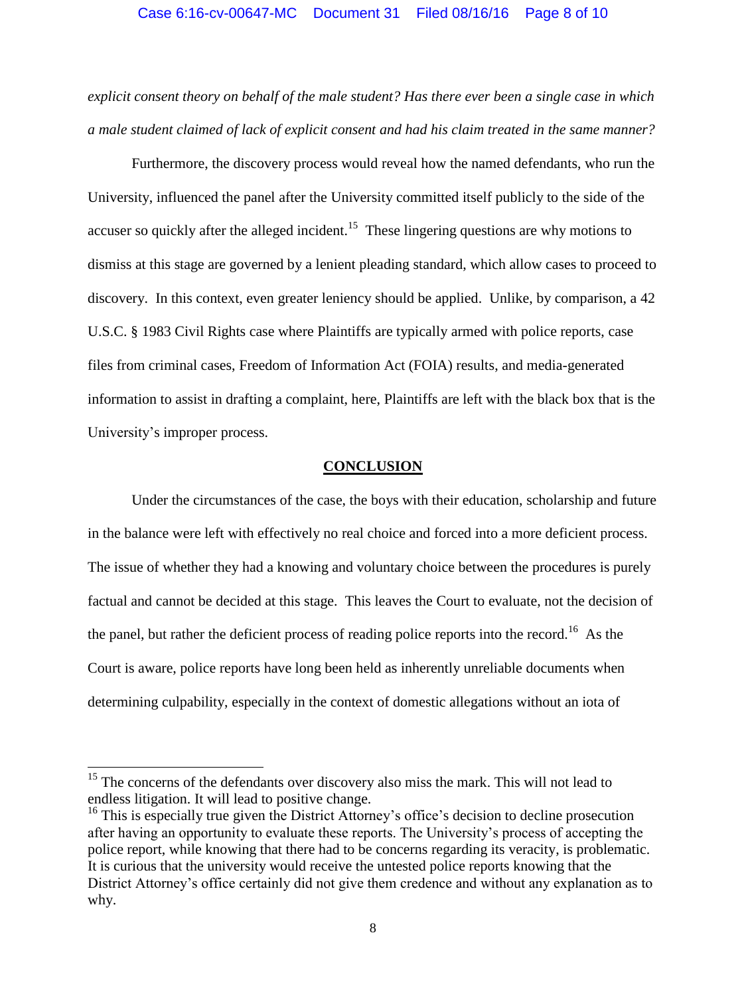#### Case 6:16-cv-00647-MC Document 31 Filed 08/16/16 Page 8 of 10

*explicit consent theory on behalf of the male student? Has there ever been a single case in which a male student claimed of lack of explicit consent and had his claim treated in the same manner?*

Furthermore, the discovery process would reveal how the named defendants, who run the University, influenced the panel after the University committed itself publicly to the side of the accuser so quickly after the alleged incident.<sup>15</sup> These lingering questions are why motions to dismiss at this stage are governed by a lenient pleading standard, which allow cases to proceed to discovery. In this context, even greater leniency should be applied. Unlike, by comparison, a 42 U.S.C. § 1983 Civil Rights case where Plaintiffs are typically armed with police reports, case files from criminal cases, Freedom of Information Act (FOIA) results, and media-generated information to assist in drafting a complaint, here, Plaintiffs are left with the black box that is the University's improper process.

## **CONCLUSION**

Under the circumstances of the case, the boys with their education, scholarship and future in the balance were left with effectively no real choice and forced into a more deficient process. The issue of whether they had a knowing and voluntary choice between the procedures is purely factual and cannot be decided at this stage. This leaves the Court to evaluate, not the decision of the panel, but rather the deficient process of reading police reports into the record.<sup>16</sup> As the Court is aware, police reports have long been held as inherently unreliable documents when determining culpability, especially in the context of domestic allegations without an iota of

 $\overline{a}$ 

 $15$  The concerns of the defendants over discovery also miss the mark. This will not lead to endless litigation. It will lead to positive change.

 $16$  This is especially true given the District Attorney's office's decision to decline prosecution after having an opportunity to evaluate these reports. The University's process of accepting the police report, while knowing that there had to be concerns regarding its veracity, is problematic. It is curious that the university would receive the untested police reports knowing that the District Attorney's office certainly did not give them credence and without any explanation as to why.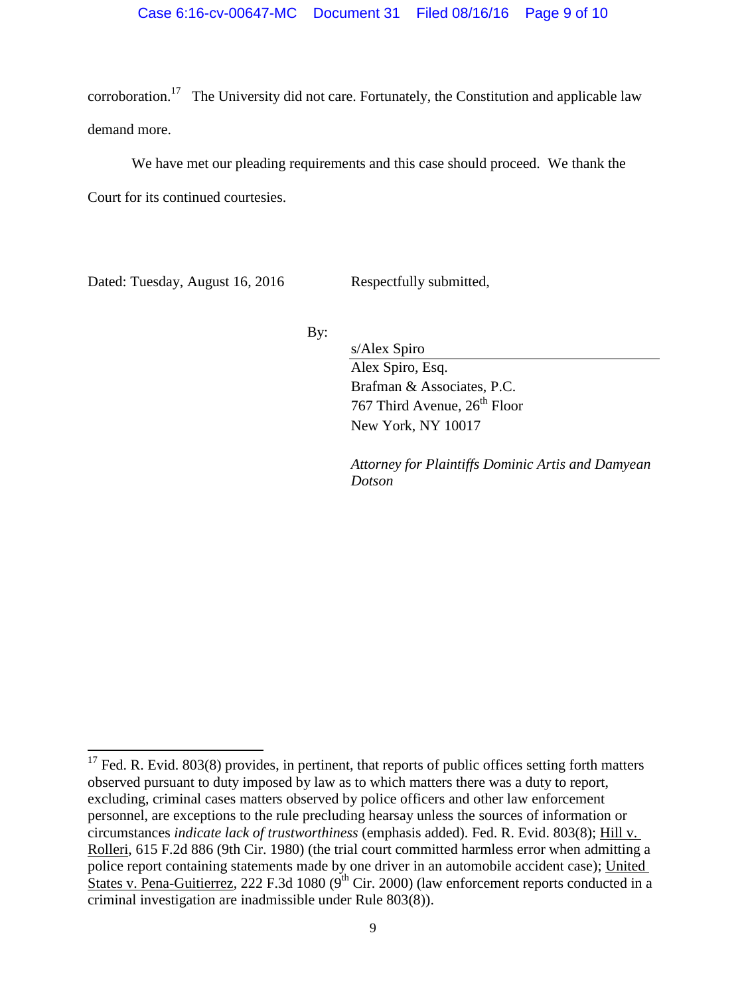corroboration.<sup>17</sup> The University did not care. Fortunately, the Constitution and applicable law demand more.

We have met our pleading requirements and this case should proceed. We thank the

Court for its continued courtesies.

Dated: Tuesday, August 16, 2016 Respectfully submitted,

l

By:

s/Alex Spiro Alex Spiro, Esq. Brafman & Associates, P.C. 767 Third Avenue, 26<sup>th</sup> Floor New York, NY 10017

*Attorney for Plaintiffs Dominic Artis and Damyean Dotson*

 $17$  Fed. R. Evid. 803(8) provides, in pertinent, that reports of public offices setting forth matters observed pursuant to duty imposed by law as to which matters there was a duty to report, excluding, criminal cases matters observed by police officers and other law enforcement personnel, are exceptions to the rule precluding hearsay unless the sources of information or circumstances *indicate lack of trustworthiness* (emphasis added). Fed. R. Evid. 803(8); Hill v. Rolleri, 615 F.2d 886 (9th Cir. 1980) (the trial court committed harmless error when admitting a police report containing statements made by one driver in an automobile accident case); United States v. Pena-Guitierrez, 222 F.3d 1080 ( $9^{th}$  Cir. 2000) (law enforcement reports conducted in a criminal investigation are inadmissible under Rule 803(8)).